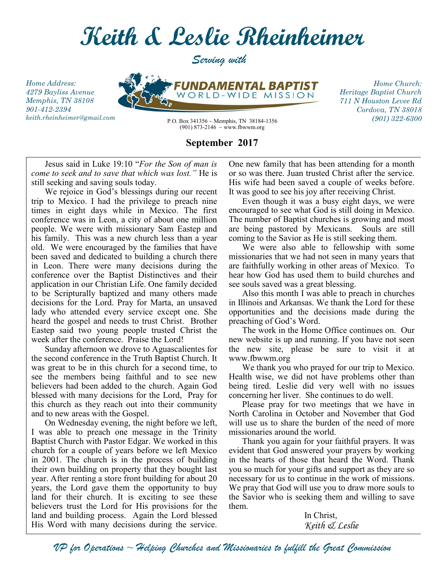

*Serving with*

*Home Address: 4279 Bayliss Avenue Memphis, TN 38108 901-412-2394 keith.rheinheimer@gmail.com*

*FUNDAMEI BAPTIST* WORLD-WIDE **MISSION** 

*Home Church: Heritage Baptist Church 711 N Houston Levee Rd Cordova, TN 38018*

P.O. Box 341356 ~ Memphis, TN 38184-1356 *(901) 322-6300* (901) 873-2146  $\sim$  www.fbwwm.org

## **September 2017**

Jesus said in Luke 19:10 "*For the Son of man is come to seek and to save that which was lost."* He is still seeking and saving souls today.

We rejoice in God's blessings during our recent trip to Mexico. I had the privilege to preach nine times in eight days while in Mexico. The first conference was in Leon, a city of about one million people. We were with missionary Sam Eastep and his family. This was a new church less than a year old. We were encouraged by the families that have been saved and dedicated to building a church there in Leon. There were many decisions during the conference over the Baptist Distinctives and their application in our Christian Life. One family decided to be Scripturally baptized and many others made decisions for the Lord. Pray for Marta, an unsaved lady who attended every service except one. She heard the gospel and needs to trust Christ. Brother Eastep said two young people trusted Christ the week after the conference. Praise the Lord!

Sunday afternoon we drove to Aguascalientes for the second conference in the Truth Baptist Church. It was great to be in this church for a second time, to see the members being faithful and to see new believers had been added to the church. Again God blessed with many decisions for the Lord, Pray for this church as they reach out into their community and to new areas with the Gospel.

On Wednesday evening, the night before we left, I was able to preach one message in the Trinity Baptist Church with Pastor Edgar. We worked in this church for a couple of years before we left Mexico in 2001. The church is in the process of building their own building on property that they bought last year. After renting a store front building for about 20 years, the Lord gave them the opportunity to buy land for their church. It is exciting to see these believers trust the Lord for His provisions for the land and building process. Again the Lord blessed His Word with many decisions during the service. One new family that has been attending for a month or so was there. Juan trusted Christ after the service. His wife had been saved a couple of weeks before. It was good to see his joy after receiving Christ.

Even though it was a busy eight days, we were encouraged to see what God is still doing in Mexico. The number of Baptist churches is growing and most are being pastored by Mexicans. Souls are still coming to the Savior as He is still seeking them.

We were also able to fellowship with some missionaries that we had not seen in many years that are faithfully working in other areas of Mexico. To hear how God has used them to build churches and see souls saved was a great blessing.

Also this month I was able to preach in churches in Illinois and Arkansas. We thank the Lord for these opportunities and the decisions made during the preaching of God's Word.

The work in the Home Office continues on. Our new website is up and running. If you have not seen the new site, please be sure to visit it at www.fbwwm.org

We thank you who prayed for our trip to Mexico. Health wise, we did not have problems other than being tired. Leslie did very well with no issues concerning her liver. She continues to do well.

Please pray for two meetings that we have in North Carolina in October and November that God will use us to share the burden of the need of more missionaries around the world.

Thank you again for your faithful prayers. It was evident that God answered your prayers by working in the hearts of those that heard the Word. Thank you so much for your gifts and support as they are so necessary for us to continue in the work of missions. We pray that God will use you to draw more souls to the Savior who is seeking them and willing to save them.

> In Christ, *Keith & Leslie*

*VP for Operations* ~ *Helping Churches and Missionaries to fulfill the Great Commission*